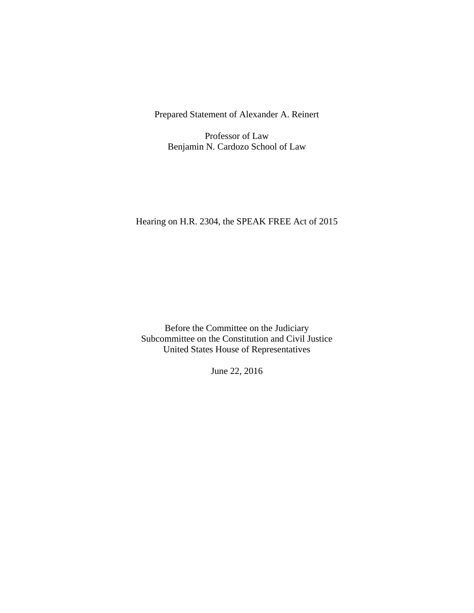Prepared Statement of Alexander A. Reinert

Professor of Law Benjamin N. Cardozo School of Law

# Hearing on H.R. 2304, the SPEAK FREE Act of 2015

Before the Committee on the Judiciary Subcommittee on the Constitution and Civil Justice United States House of Representatives

June 22, 2016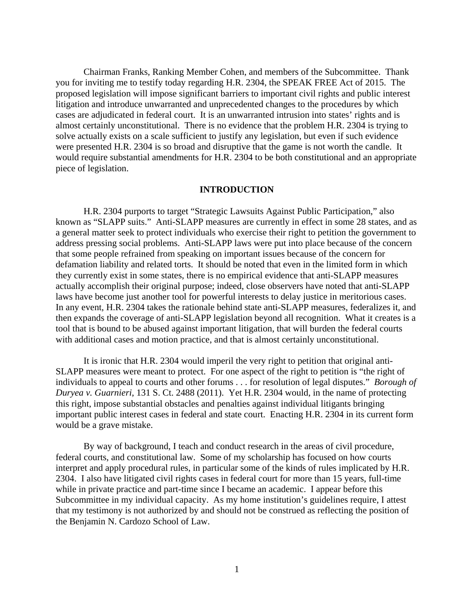Chairman Franks, Ranking Member Cohen, and members of the Subcommittee. Thank you for inviting me to testify today regarding H.R. 2304, the SPEAK FREE Act of 2015. The proposed legislation will impose significant barriers to important civil rights and public interest litigation and introduce unwarranted and unprecedented changes to the procedures by which cases are adjudicated in federal court. It is an unwarranted intrusion into states' rights and is almost certainly unconstitutional. There is no evidence that the problem H.R. 2304 is trying to solve actually exists on a scale sufficient to justify any legislation, but even if such evidence were presented H.R. 2304 is so broad and disruptive that the game is not worth the candle. It would require substantial amendments for H.R. 2304 to be both constitutional and an appropriate piece of legislation.

#### **INTRODUCTION**

 H.R. 2304 purports to target "Strategic Lawsuits Against Public Participation," also known as "SLAPP suits." Anti-SLAPP measures are currently in effect in some 28 states, and as a general matter seek to protect individuals who exercise their right to petition the government to address pressing social problems. Anti-SLAPP laws were put into place because of the concern that some people refrained from speaking on important issues because of the concern for defamation liability and related torts. It should be noted that even in the limited form in which they currently exist in some states, there is no empirical evidence that anti-SLAPP measures actually accomplish their original purpose; indeed, close observers have noted that anti-SLAPP laws have become just another tool for powerful interests to delay justice in meritorious cases. In any event, H.R. 2304 takes the rationale behind state anti-SLAPP measures, federalizes it, and then expands the coverage of anti-SLAPP legislation beyond all recognition. What it creates is a tool that is bound to be abused against important litigation, that will burden the federal courts with additional cases and motion practice, and that is almost certainly unconstitutional.

 It is ironic that H.R. 2304 would imperil the very right to petition that original anti-SLAPP measures were meant to protect. For one aspect of the right to petition is "the right of individuals to appeal to courts and other forums . . . for resolution of legal disputes." *Borough of Duryea v. Guarnieri*, 131 S. Ct. 2488 (2011). Yet H.R. 2304 would, in the name of protecting this right, impose substantial obstacles and penalties against individual litigants bringing important public interest cases in federal and state court. Enacting H.R. 2304 in its current form would be a grave mistake.

 By way of background, I teach and conduct research in the areas of civil procedure, federal courts, and constitutional law. Some of my scholarship has focused on how courts interpret and apply procedural rules, in particular some of the kinds of rules implicated by H.R. 2304. I also have litigated civil rights cases in federal court for more than 15 years, full-time while in private practice and part-time since I became an academic. I appear before this Subcommittee in my individual capacity. As my home institution's guidelines require, I attest that my testimony is not authorized by and should not be construed as reflecting the position of the Benjamin N. Cardozo School of Law.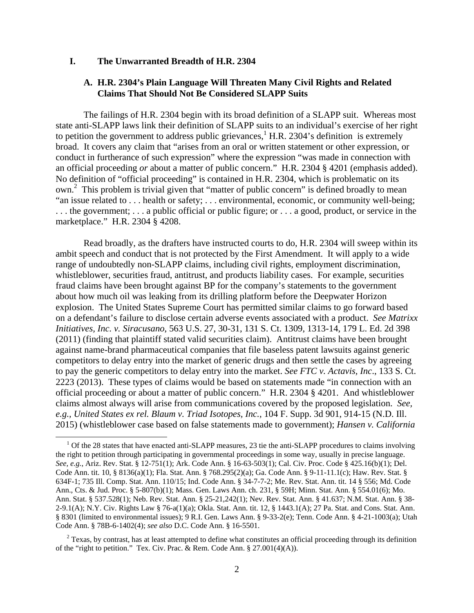#### **I. The Unwarranted Breadth of H.R. 2304**

### **A. H.R. 2304's Plain Language Will Threaten Many Civil Rights and Related Claims That Should Not Be Considered SLAPP Suits**

The failings of H.R. 2304 begin with its broad definition of a SLAPP suit. Whereas most state anti-SLAPP laws link their definition of SLAPP suits to an individual's exercise of her right to petition the government to address public grievances,  $^1$  H.R. 2304's definition is extremely broad. It covers any claim that "arises from an oral or written statement or other expression, or conduct in furtherance of such expression" where the expression "was made in connection with an official proceeding *or* about a matter of public concern." H.R. 2304 § 4201 (emphasis added). No definition of "official proceeding" is contained in H.R. 2304, which is problematic on its own.<sup>2</sup> This problem is trivial given that "matter of public concern" is defined broadly to mean "an issue related to . . . health or safety; . . . environmental, economic, or community well-being; . . . the government; . . . a public official or public figure; or . . . a good, product, or service in the marketplace." H.R. 2304 § 4208.

Read broadly, as the drafters have instructed courts to do, H.R. 2304 will sweep within its ambit speech and conduct that is not protected by the First Amendment. It will apply to a wide range of undoubtedly non-SLAPP claims, including civil rights, employment discrimination, whistleblower, securities fraud, antitrust, and products liability cases. For example, securities fraud claims have been brought against BP for the company's statements to the government about how much oil was leaking from its drilling platform before the Deepwater Horizon explosion. The United States Supreme Court has permitted similar claims to go forward based on a defendant's failure to disclose certain adverse events associated with a product. *See Matrixx Initiatives, Inc. v. Siracusano*, 563 U.S. 27, 30-31, 131 S. Ct. 1309, 1313-14, 179 L. Ed. 2d 398 (2011) (finding that plaintiff stated valid securities claim). Antitrust claims have been brought against name-brand pharmaceutical companies that file baseless patent lawsuits against generic competitors to delay entry into the market of generic drugs and then settle the cases by agreeing to pay the generic competitors to delay entry into the market. *See FTC v. Actavis, Inc*., 133 S. Ct. 2223 (2013). These types of claims would be based on statements made "in connection with an official proceeding or about a matter of public concern." H.R. 2304 § 4201. And whistleblower claims almost always will arise from communications covered by the proposed legislation. *See, e.g., United States ex rel. Blaum v. Triad Isotopes, Inc.*, 104 F. Supp. 3d 901, 914-15 (N.D. Ill. 2015) (whistleblower case based on false statements made to government); *Hansen v. California* 

<sup>&</sup>lt;sup>1</sup> Of the 28 states that have enacted anti-SLAPP measures, 23 tie the anti-SLAPP procedures to claims involving the right to petition through participating in governmental proceedings in some way, usually in precise language. *See, e.g.*, Ariz. Rev. Stat. § 12-751(1); Ark. Code Ann. § 16-63-503(1); Cal. Civ. Proc. Code § 425.16(b)(1); Del. Code Ann. tit. 10, § 8136(a)(1); Fla. Stat. Ann. § 768.295(2)(a); Ga. Code Ann. § 9-11-11.1(c); Haw. Rev. Stat. § 634F-1; 735 Ill. Comp. Stat. Ann. 110/15; Ind. Code Ann. § 34-7-7-2; Me. Rev. Stat. Ann. tit. 14 § 556; Md. Code Ann., Cts. & Jud. Proc. § 5-807(b)(1); Mass. Gen. Laws Ann. ch. 231, § 59H; Minn. Stat. Ann. § 554.01(6); Mo. Ann. Stat. § 537.528(1); Neb. Rev. Stat. Ann. § 25-21,242(1); Nev. Rev. Stat. Ann. § 41.637; N.M. Stat. Ann. § 38- 2-9.1(A); N.Y. Civ. Rights Law § 76-a(1)(a); Okla. Stat. Ann. tit. 12, § 1443.1(A); 27 Pa. Stat. and Cons. Stat. Ann. § 8301 (limited to environmental issues); 9 R.I. Gen. Laws Ann. § 9-33-2(e); Tenn. Code Ann. § 4-21-1003(a); Utah Code Ann. § 78B-6-1402(4); *see also* D.C. Code Ann. § 16-5501.

 $2$  Texas, by contrast, has at least attempted to define what constitutes an official proceeding through its definition of the "right to petition." Tex. Civ. Prac. & Rem. Code Ann. § 27.001(4)(A)).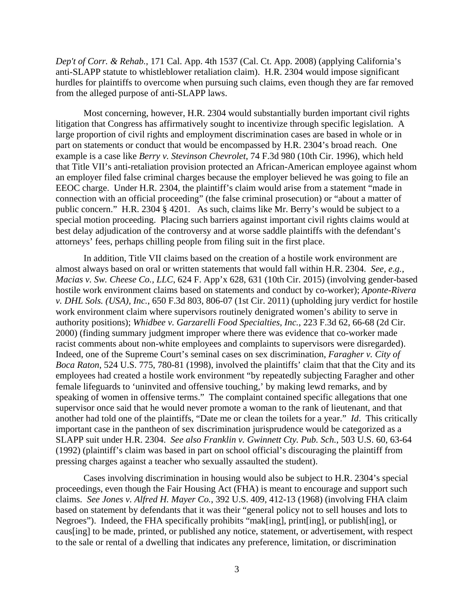*Dep't of Corr. & Rehab.*, 171 Cal. App. 4th 1537 (Cal. Ct. App. 2008) (applying California's anti-SLAPP statute to whistleblower retaliation claim). H.R. 2304 would impose significant hurdles for plaintiffs to overcome when pursuing such claims, even though they are far removed from the alleged purpose of anti-SLAPP laws.

Most concerning, however, H.R. 2304 would substantially burden important civil rights litigation that Congress has affirmatively sought to incentivize through specific legislation. A large proportion of civil rights and employment discrimination cases are based in whole or in part on statements or conduct that would be encompassed by H.R. 2304's broad reach. One example is a case like *Berry v. Stevinson Chevrolet*, 74 F.3d 980 (10th Cir. 1996), which held that Title VII's anti-retaliation provision protected an African-American employee against whom an employer filed false criminal charges because the employer believed he was going to file an EEOC charge. Under H.R. 2304, the plaintiff's claim would arise from a statement "made in connection with an official proceeding" (the false criminal prosecution) or "about a matter of public concern." H.R. 2304 § 4201. As such, claims like Mr. Berry's would be subject to a special motion proceeding. Placing such barriers against important civil rights claims would at best delay adjudication of the controversy and at worse saddle plaintiffs with the defendant's attorneys' fees, perhaps chilling people from filing suit in the first place.

In addition, Title VII claims based on the creation of a hostile work environment are almost always based on oral or written statements that would fall within H.R. 2304. *See, e.g., Macias v. Sw. Cheese Co., LLC*, 624 F. App'x 628, 631 (10th Cir. 2015) (involving gender-based hostile work environment claims based on statements and conduct by co-worker); *Aponte-Rivera v. DHL Sols. (USA), Inc.*, 650 F.3d 803, 806-07 (1st Cir. 2011) (upholding jury verdict for hostile work environment claim where supervisors routinely denigrated women's ability to serve in authority positions); *Whidbee v. Garzarelli Food Specialties, Inc.*, 223 F.3d 62, 66-68 (2d Cir. 2000) (finding summary judgment improper where there was evidence that co-worker made racist comments about non-white employees and complaints to supervisors were disregarded). Indeed, one of the Supreme Court's seminal cases on sex discrimination, *Faragher v. City of Boca Raton*, 524 U.S. 775, 780-81 (1998), involved the plaintiffs' claim that that the City and its employees had created a hostile work environment "by repeatedly subjecting Faragher and other female lifeguards to 'uninvited and offensive touching,' by making lewd remarks, and by speaking of women in offensive terms." The complaint contained specific allegations that one supervisor once said that he would never promote a woman to the rank of lieutenant, and that another had told one of the plaintiffs, "Date me or clean the toilets for a year." *Id*. This critically important case in the pantheon of sex discrimination jurisprudence would be categorized as a SLAPP suit under H.R. 2304. *See also Franklin v. Gwinnett Cty. Pub. Sch.*, 503 U.S. 60, 63-64 (1992) (plaintiff's claim was based in part on school official's discouraging the plaintiff from pressing charges against a teacher who sexually assaulted the student).

Cases involving discrimination in housing would also be subject to H.R. 2304's special proceedings, even though the Fair Housing Act (FHA) is meant to encourage and support such claims. *See Jones v. Alfred H. Mayer Co.*, 392 U.S. 409, 412-13 (1968) (involving FHA claim based on statement by defendants that it was their "general policy not to sell houses and lots to Negroes"). Indeed, the FHA specifically prohibits "mak[ing], print[ing], or publish[ing], or caus[ing] to be made, printed, or published any notice, statement, or advertisement, with respect to the sale or rental of a dwelling that indicates any preference, limitation, or discrimination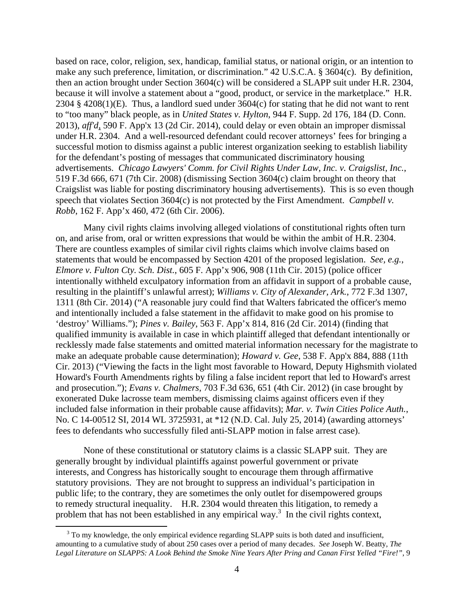based on race, color, religion, sex, handicap, familial status, or national origin, or an intention to make any such preference, limitation, or discrimination." 42 U.S.C.A. § 3604(c). By definition, then an action brought under Section 3604(c) will be considered a SLAPP suit under H.R. 2304, because it will involve a statement about a "good, product, or service in the marketplace." H.R. 2304 § 4208(1)(E). Thus, a landlord sued under  $3604(c)$  for stating that he did not want to rent to "too many" black people, as in *United States v. Hylton*, 944 F. Supp. 2d 176, 184 (D. Conn. 2013), *aff'd*, 590 F. App'x 13 (2d Cir. 2014), could delay or even obtain an improper dismissal under H.R. 2304. And a well-resourced defendant could recover attorneys' fees for bringing a successful motion to dismiss against a public interest organization seeking to establish liability for the defendant's posting of messages that communicated discriminatory housing advertisements. *Chicago Lawyers' Comm. for Civil Rights Under Law, Inc. v. Craigslist, Inc.*, 519 F.3d 666, 671 (7th Cir. 2008) (dismissing Section 3604(c) claim brought on theory that Craigslist was liable for posting discriminatory housing advertisements). This is so even though speech that violates Section 3604(c) is not protected by the First Amendment. *Campbell v. Robb*, 162 F. App'x 460, 472 (6th Cir. 2006).

Many civil rights claims involving alleged violations of constitutional rights often turn on, and arise from, oral or written expressions that would be within the ambit of H.R. 2304. There are countless examples of similar civil rights claims which involve claims based on statements that would be encompassed by Section 4201 of the proposed legislation. *See, e.g.*, *Elmore v. Fulton Cty. Sch. Dist.*, 605 F. App'x 906, 908 (11th Cir. 2015) (police officer intentionally withheld exculpatory information from an affidavit in support of a probable cause, resulting in the plaintiff's unlawful arrest); *Williams v. City of Alexander, Ark.*, 772 F.3d 1307, 1311 (8th Cir. 2014) ("A reasonable jury could find that Walters fabricated the officer's memo and intentionally included a false statement in the affidavit to make good on his promise to 'destroy' Williams."); *Pines v. Bailey*, 563 F. App'x 814, 816 (2d Cir. 2014) (finding that qualified immunity is available in case in which plaintiff alleged that defendant intentionally or recklessly made false statements and omitted material information necessary for the magistrate to make an adequate probable cause determination); *Howard v. Gee*, 538 F. App'x 884, 888 (11th Cir. 2013) ("Viewing the facts in the light most favorable to Howard, Deputy Highsmith violated Howard's Fourth Amendments rights by filing a false incident report that led to Howard's arrest and prosecution."); *Evans v. Chalmers*, 703 F.3d 636, 651 (4th Cir. 2012) (in case brought by exonerated Duke lacrosse team members, dismissing claims against officers even if they included false information in their probable cause affidavits); *Mar. v. Twin Cities Police Auth.*, No. C 14-00512 SI, 2014 WL 3725931, at \*12 (N.D. Cal. July 25, 2014) (awarding attorneys' fees to defendants who successfully filed anti-SLAPP motion in false arrest case).

None of these constitutional or statutory claims is a classic SLAPP suit. They are generally brought by individual plaintiffs against powerful government or private interests, and Congress has historically sought to encourage them through affirmative statutory provisions. They are not brought to suppress an individual's participation in public life; to the contrary, they are sometimes the only outlet for disempowered groups to remedy structural inequality. H.R. 2304 would threaten this litigation, to remedy a problem that has not been established in any empirical way.<sup>3</sup> In the civil rights context,

<sup>&</sup>lt;sup>3</sup> To my knowledge, the only empirical evidence regarding SLAPP suits is both dated and insufficient, amounting to a cumulative study of about 250 cases over a period of many decades. *See* Joseph W. Beatty, *The Legal Literature on SLAPPS: A Look Behind the Smoke Nine Years After Pring and Canan First Yelled "Fire!"*, 9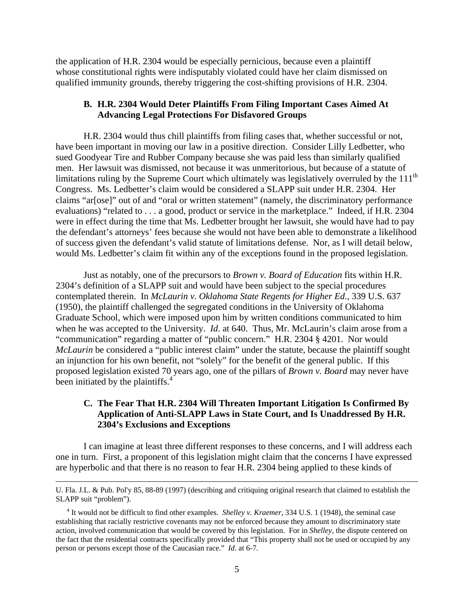the application of H.R. 2304 would be especially pernicious, because even a plaintiff whose constitutional rights were indisputably violated could have her claim dismissed on qualified immunity grounds, thereby triggering the cost-shifting provisions of H.R. 2304.

## **B. H.R. 2304 Would Deter Plaintiffs From Filing Important Cases Aimed At Advancing Legal Protections For Disfavored Groups**

 H.R. 2304 would thus chill plaintiffs from filing cases that, whether successful or not, have been important in moving our law in a positive direction. Consider Lilly Ledbetter, who sued Goodyear Tire and Rubber Company because she was paid less than similarly qualified men. Her lawsuit was dismissed, not because it was unmeritorious, but because of a statute of limitations ruling by the Supreme Court which ultimately was legislatively overruled by the 111<sup>th</sup> Congress. Ms. Ledbetter's claim would be considered a SLAPP suit under H.R. 2304. Her claims "ar[ose]" out of and "oral or written statement" (namely, the discriminatory performance evaluations) "related to . . . a good, product or service in the marketplace." Indeed, if H.R. 2304 were in effect during the time that Ms. Ledbetter brought her lawsuit, she would have had to pay the defendant's attorneys' fees because she would not have been able to demonstrate a likelihood of success given the defendant's valid statute of limitations defense. Nor, as I will detail below, would Ms. Ledbetter's claim fit within any of the exceptions found in the proposed legislation.

 Just as notably, one of the precursors to *Brown v. Board of Education* fits within H.R. 2304's definition of a SLAPP suit and would have been subject to the special procedures contemplated therein. In *McLaurin v. Oklahoma State Regents for Higher Ed.*, 339 U.S. 637 (1950), the plaintiff challenged the segregated conditions in the University of Oklahoma Graduate School, which were imposed upon him by written conditions communicated to him when he was accepted to the University. *Id.* at 640. Thus, Mr. McLaurin's claim arose from a "communication" regarding a matter of "public concern." H.R. 2304 § 4201. Nor would *McLaurin* be considered a "public interest claim" under the statute, because the plaintiff sought an injunction for his own benefit, not "solely" for the benefit of the general public. If this proposed legislation existed 70 years ago, one of the pillars of *Brown v. Board* may never have been initiated by the plaintiffs.<sup>4</sup>

## **C. The Fear That H.R. 2304 Will Threaten Important Litigation Is Confirmed By Application of Anti-SLAPP Laws in State Court, and Is Unaddressed By H.R. 2304's Exclusions and Exceptions**

 I can imagine at least three different responses to these concerns, and I will address each one in turn. First, a proponent of this legislation might claim that the concerns I have expressed are hyperbolic and that there is no reason to fear H.R. 2304 being applied to these kinds of

<u> 1989 - Johann Stein, marwolaethau a gweledydd a ganlad y ganlad y ganlad y ganlad y ganlad y ganlad y ganlad</u>

U. Fla. J.L. & Pub. Pol'y 85, 88-89 (1997) (describing and critiquing original research that claimed to establish the SLAPP suit "problem").

<sup>4</sup> It would not be difficult to find other examples. *Shelley v. Kraemer*, 334 U.S. 1 (1948), the seminal case establishing that racially restrictive covenants may not be enforced because they amount to discriminatory state action, involved communication that would be covered by this legislation. For in *Shelley*, the dispute centered on the fact that the residential contracts specifically provided that "This property shall not be used or occupied by any person or persons except those of the Caucasian race." *Id*. at 6-7*.*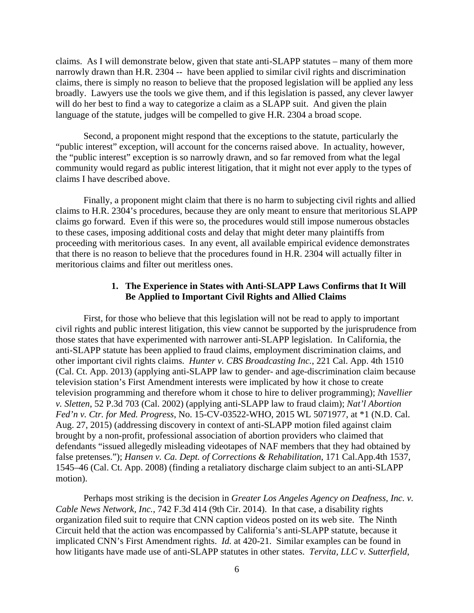claims. As I will demonstrate below, given that state anti-SLAPP statutes – many of them more narrowly drawn than H.R. 2304 -- have been applied to similar civil rights and discrimination claims, there is simply no reason to believe that the proposed legislation will be applied any less broadly. Lawyers use the tools we give them, and if this legislation is passed, any clever lawyer will do her best to find a way to categorize a claim as a SLAPP suit. And given the plain language of the statute, judges will be compelled to give H.R. 2304 a broad scope.

Second, a proponent might respond that the exceptions to the statute, particularly the "public interest" exception, will account for the concerns raised above. In actuality, however, the "public interest" exception is so narrowly drawn, and so far removed from what the legal community would regard as public interest litigation, that it might not ever apply to the types of claims I have described above.

Finally, a proponent might claim that there is no harm to subjecting civil rights and allied claims to H.R. 2304's procedures, because they are only meant to ensure that meritorious SLAPP claims go forward. Even if this were so, the procedures would still impose numerous obstacles to these cases, imposing additional costs and delay that might deter many plaintiffs from proceeding with meritorious cases. In any event, all available empirical evidence demonstrates that there is no reason to believe that the procedures found in H.R. 2304 will actually filter in meritorious claims and filter out meritless ones.

## **1. The Experience in States with Anti-SLAPP Laws Confirms that It Will Be Applied to Important Civil Rights and Allied Claims**

 First, for those who believe that this legislation will not be read to apply to important civil rights and public interest litigation, this view cannot be supported by the jurisprudence from those states that have experimented with narrower anti-SLAPP legislation. In California, the anti-SLAPP statute has been applied to fraud claims, employment discrimination claims, and other important civil rights claims. *Hunter v. CBS Broadcasting Inc.*, 221 Cal. App. 4th 1510 (Cal. Ct. App. 2013) (applying anti-SLAPP law to gender- and age-discrimination claim because television station's First Amendment interests were implicated by how it chose to create television programming and therefore whom it chose to hire to deliver programming); *Navellier v. Sletten*, 52 P.3d 703 (Cal. 2002) (applying anti-SLAPP law to fraud claim); *Nat'l Abortion Fed'n v. Ctr. for Med. Progress*, No. 15-CV-03522-WHO, 2015 WL 5071977, at \*1 (N.D. Cal. Aug. 27, 2015) (addressing discovery in context of anti-SLAPP motion filed against claim brought by a non-profit, professional association of abortion providers who claimed that defendants "issued allegedly misleading videotapes of NAF members that they had obtained by false pretenses."); *Hansen v. Ca. Dept. of Corrections & Rehabilitation*, 171 Cal.App.4th 1537, 1545–46 (Cal. Ct. App. 2008) (finding a retaliatory discharge claim subject to an anti-SLAPP motion).

Perhaps most striking is the decision in *Greater Los Angeles Agency on Deafness, Inc. v. Cable News Network, Inc.*, 742 F.3d 414 (9th Cir. 2014). In that case, a disability rights organization filed suit to require that CNN caption videos posted on its web site. The Ninth Circuit held that the action was encompassed by California's anti-SLAPP statute, because it implicated CNN's First Amendment rights. *Id.* at 420-21. Similar examples can be found in how litigants have made use of anti-SLAPP statutes in other states. *Tervita, LLC v. Sutterfield*,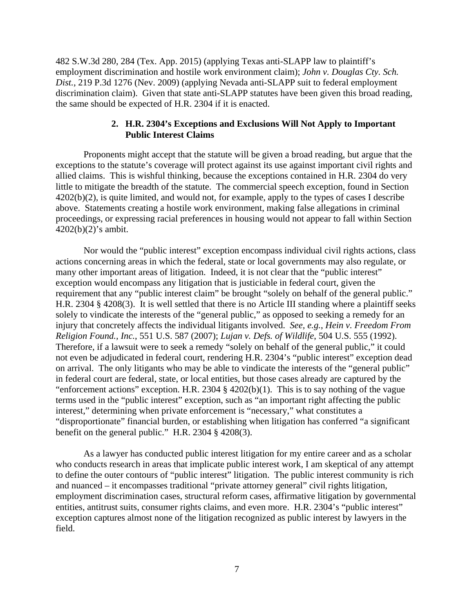482 S.W.3d 280, 284 (Tex. App. 2015) (applying Texas anti-SLAPP law to plaintiff's employment discrimination and hostile work environment claim); *John v. Douglas Cty. Sch. Dist.*, 219 P.3d 1276 (Nev. 2009) (applying Nevada anti-SLAPP suit to federal employment discrimination claim). Given that state anti-SLAPP statutes have been given this broad reading, the same should be expected of H.R. 2304 if it is enacted.

### **2. H.R. 2304's Exceptions and Exclusions Will Not Apply to Important Public Interest Claims**

Proponents might accept that the statute will be given a broad reading, but argue that the exceptions to the statute's coverage will protect against its use against important civil rights and allied claims. This is wishful thinking, because the exceptions contained in H.R. 2304 do very little to mitigate the breadth of the statute. The commercial speech exception, found in Section 4202(b)(2), is quite limited, and would not, for example, apply to the types of cases I describe above. Statements creating a hostile work environment, making false allegations in criminal proceedings, or expressing racial preferences in housing would not appear to fall within Section 4202(b)(2)'s ambit.

Nor would the "public interest" exception encompass individual civil rights actions, class actions concerning areas in which the federal, state or local governments may also regulate, or many other important areas of litigation. Indeed, it is not clear that the "public interest" exception would encompass any litigation that is justiciable in federal court, given the requirement that any "public interest claim" be brought "solely on behalf of the general public." H.R. 2304 § 4208(3). It is well settled that there is no Article III standing where a plaintiff seeks solely to vindicate the interests of the "general public," as opposed to seeking a remedy for an injury that concretely affects the individual litigants involved. *See, e.g.*, *Hein v. Freedom From Religion Found., Inc.*, 551 U.S. 587 (2007); *Lujan v. Defs. of Wildlife*, 504 U.S. 555 (1992). Therefore, if a lawsuit were to seek a remedy "solely on behalf of the general public," it could not even be adjudicated in federal court, rendering H.R. 2304's "public interest" exception dead on arrival. The only litigants who may be able to vindicate the interests of the "general public" in federal court are federal, state, or local entities, but those cases already are captured by the "enforcement actions" exception. H.R. 2304 § 4202(b)(1). This is to say nothing of the vague terms used in the "public interest" exception, such as "an important right affecting the public interest," determining when private enforcement is "necessary," what constitutes a "disproportionate" financial burden, or establishing when litigation has conferred "a significant benefit on the general public." H.R. 2304 § 4208(3).

 As a lawyer has conducted public interest litigation for my entire career and as a scholar who conducts research in areas that implicate public interest work, I am skeptical of any attempt to define the outer contours of "public interest" litigation. The public interest community is rich and nuanced – it encompasses traditional "private attorney general" civil rights litigation, employment discrimination cases, structural reform cases, affirmative litigation by governmental entities, antitrust suits, consumer rights claims, and even more. H.R. 2304's "public interest" exception captures almost none of the litigation recognized as public interest by lawyers in the field.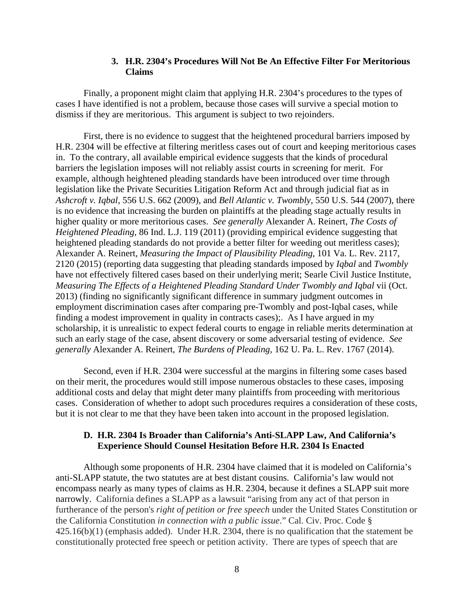### **3. H.R. 2304's Procedures Will Not Be An Effective Filter For Meritorious Claims**

Finally, a proponent might claim that applying H.R. 2304's procedures to the types of cases I have identified is not a problem, because those cases will survive a special motion to dismiss if they are meritorious. This argument is subject to two rejoinders.

First, there is no evidence to suggest that the heightened procedural barriers imposed by H.R. 2304 will be effective at filtering meritless cases out of court and keeping meritorious cases in. To the contrary, all available empirical evidence suggests that the kinds of procedural barriers the legislation imposes will not reliably assist courts in screening for merit. For example, although heightened pleading standards have been introduced over time through legislation like the Private Securities Litigation Reform Act and through judicial fiat as in *Ashcroft v. Iqbal*, 556 U.S. 662 (2009), and *Bell Atlantic v. Twombly*, 550 U.S. 544 (2007), there is no evidence that increasing the burden on plaintiffs at the pleading stage actually results in higher quality or more meritorious cases. *See generally* Alexander A. Reinert, *The Costs of Heightened Pleading*, 86 Ind. L.J. 119 (2011) (providing empirical evidence suggesting that heightened pleading standards do not provide a better filter for weeding out meritless cases); Alexander A. Reinert, *Measuring the Impact of Plausibility Pleading*, 101 Va. L. Rev. 2117, 2120 (2015) (reporting data suggesting that pleading standards imposed by *Iqbal* and *Twombly* have not effectively filtered cases based on their underlying merit; Searle Civil Justice Institute, *Measuring The Effects of a Heightened Pleading Standard Under Twombly and Iqbal* vii (Oct. 2013) (finding no significantly significant difference in summary judgment outcomes in employment discrimination cases after comparing pre-Twombly and post-Iqbal cases, while finding a modest improvement in quality in contracts cases);. As I have argued in my scholarship, it is unrealistic to expect federal courts to engage in reliable merits determination at such an early stage of the case, absent discovery or some adversarial testing of evidence. *See generally* Alexander A. Reinert, *The Burdens of Pleading*, 162 U. Pa. L. Rev. 1767 (2014).

Second, even if H.R. 2304 were successful at the margins in filtering some cases based on their merit, the procedures would still impose numerous obstacles to these cases, imposing additional costs and delay that might deter many plaintiffs from proceeding with meritorious cases. Consideration of whether to adopt such procedures requires a consideration of these costs, but it is not clear to me that they have been taken into account in the proposed legislation.

### **D. H.R. 2304 Is Broader than California's Anti-SLAPP Law, And California's Experience Should Counsel Hesitation Before H.R. 2304 Is Enacted**

 Although some proponents of H.R. 2304 have claimed that it is modeled on California's anti-SLAPP statute, the two statutes are at best distant cousins. California's law would not encompass nearly as many types of claims as H.R. 2304, because it defines a SLAPP suit more narrowly. California defines a SLAPP as a lawsuit "arising from any act of that person in furtherance of the person's *right of petition or free speech* under the United States Constitution or the California Constitution *in connection with a public issue*." Cal. Civ. Proc. Code § 425.16(b)(1) (emphasis added). Under H.R. 2304, there is no qualification that the statement be constitutionally protected free speech or petition activity. There are types of speech that are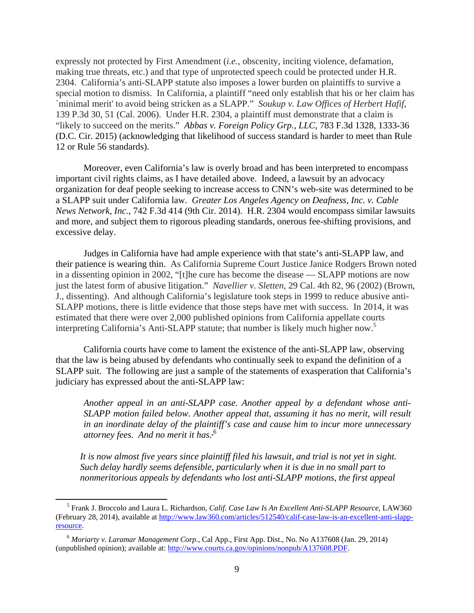expressly not protected by First Amendment (*i.e.*, obscenity, inciting violence, defamation, making true threats, etc.) and that type of unprotected speech could be protected under H.R. 2304. California's anti-SLAPP statute also imposes a lower burden on plaintiffs to survive a special motion to dismiss. In California, a plaintiff "need only establish that his or her claim has `minimal merit' to avoid being stricken as a SLAPP." *Soukup v. Law Offices of Herbert Hafif*, 139 P.3d 30, 51 (Cal. 2006). Under H.R. 2304, a plaintiff must demonstrate that a claim is "likely to succeed on the merits." *Abbas v. Foreign Policy Grp., LLC*, 783 F.3d 1328, 1333-36 (D.C. Cir. 2015) (acknowledging that likelihood of success standard is harder to meet than Rule 12 or Rule 56 standards).

 Moreover, even California's law is overly broad and has been interpreted to encompass important civil rights claims, as I have detailed above. Indeed, a lawsuit by an advocacy organization for deaf people seeking to increase access to CNN's web-site was determined to be a SLAPP suit under California law. *Greater Los Angeles Agency on Deafness, Inc. v. Cable News Network, Inc.*, 742 F.3d 414 (9th Cir. 2014). H.R. 2304 would encompass similar lawsuits and more, and subject them to rigorous pleading standards, onerous fee-shifting provisions, and excessive delay.

 Judges in California have had ample experience with that state's anti-SLAPP law, and their patience is wearing thin. As California Supreme Court Justice Janice Rodgers Brown noted in a dissenting opinion in 2002, "[t]he cure has become the disease — SLAPP motions are now just the latest form of abusive litigation." *Navellier v. Sletten*, 29 Cal. 4th 82, 96 (2002) (Brown, J., dissenting). And although California's legislature took steps in 1999 to reduce abusive anti-SLAPP motions, there is little evidence that those steps have met with success. In 2014, it was estimated that there were over 2,000 published opinions from California appellate courts interpreting California's Anti-SLAPP statute; that number is likely much higher now.5

California courts have come to lament the existence of the anti-SLAPP law, observing that the law is being abused by defendants who continually seek to expand the definition of a SLAPP suit. The following are just a sample of the statements of exasperation that California's judiciary has expressed about the anti-SLAPP law:

*Another appeal in an anti-SLAPP case. Another appeal by a defendant whose anti-SLAPP motion failed below. Another appeal that, assuming it has no merit, will result in an inordinate delay of the plaintiff's case and cause him to incur more unnecessary attorney fees. And no merit it has.* <sup>6</sup>

*It is now almost five years since plaintiff filed his lawsuit, and trial is not yet in sight. Such delay hardly seems defensible, particularly when it is due in no small part to nonmeritorious appeals by defendants who lost anti-SLAPP motions, the first appeal* 

 <sup>5</sup> Frank J. Broccolo and Laura L. Richardson, *Calif. Case Law Is An Excellent Anti-SLAPP Resource,* LAW360 (February 28, 2014), available at http://www.law360.com/articles/512540/calif-case-law-is-an-excellent-anti-slappresource.

<sup>6</sup> *Moriarty v. Laramar Management Corp*., Cal App., First App. Dist., No. No A137608 (Jan. 29, 2014) (unpublished opinion); available at: http://www.courts.ca.gov/opinions/nonpub/A137608.PDF.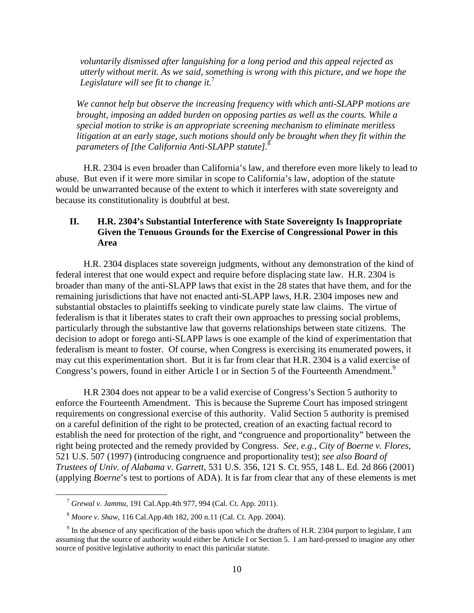*voluntarily dismissed after languishing for a long period and this appeal rejected as utterly without merit. As we said, something is wrong with this picture, and we hope the Legislature will see fit to change it.*<sup>7</sup>

*We cannot help but observe the increasing frequency with which anti-SLAPP motions are brought, imposing an added burden on opposing parties as well as the courts. While a special motion to strike is an appropriate screening mechanism to eliminate meritless litigation at an early stage, such motions should only be brought when they fit within the parameters of [the California Anti-SLAPP statute].*<sup>8</sup>

 H.R. 2304 is even broader than California's law, and therefore even more likely to lead to abuse. But even if it were more similar in scope to California's law, adoption of the statute would be unwarranted because of the extent to which it interferes with state sovereignty and because its constitutionality is doubtful at best.

# **II. H.R. 2304's Substantial Interference with State Sovereignty Is Inappropriate Given the Tenuous Grounds for the Exercise of Congressional Power in this Area**

H.R. 2304 displaces state sovereign judgments, without any demonstration of the kind of federal interest that one would expect and require before displacing state law. H.R. 2304 is broader than many of the anti-SLAPP laws that exist in the 28 states that have them, and for the remaining jurisdictions that have not enacted anti-SLAPP laws, H.R. 2304 imposes new and substantial obstacles to plaintiffs seeking to vindicate purely state law claims. The virtue of federalism is that it liberates states to craft their own approaches to pressing social problems, particularly through the substantive law that governs relationships between state citizens. The decision to adopt or forego anti-SLAPP laws is one example of the kind of experimentation that federalism is meant to foster. Of course, when Congress is exercising its enumerated powers, it may cut this experimentation short. But it is far from clear that H.R. 2304 is a valid exercise of Congress's powers, found in either Article I or in Section 5 of the Fourteenth Amendment.<sup>9</sup>

H.R 2304 does not appear to be a valid exercise of Congress's Section 5 authority to enforce the Fourteenth Amendment. This is because the Supreme Court has imposed stringent requirements on congressional exercise of this authority. Valid Section 5 authority is premised on a careful definition of the right to be protected, creation of an exacting factual record to establish the need for protection of the right, and "congruence and proportionality" between the right being protected and the remedy provided by Congress. *See, e.g.*, *City of Boerne v. Flores*, 521 U.S. 507 (1997) (introducing congruence and proportionality test); *see also Board of Trustees of Univ. of Alabama v. Garrett*, 531 U.S. 356, 121 S. Ct. 955, 148 L. Ed. 2d 866 (2001) (applying *Boerne*'s test to portions of ADA). It is far from clear that any of these elements is met

 <sup>7</sup> *Grewal v. Jammu*, 191 Cal.App.4th 977, 994 (Cal. Ct. App. 2011).

<sup>8</sup> *Moore v. Shaw*, 116 Cal.App.4th 182, 200 n.11 (Cal. Ct. App. 2004).

 $9<sup>9</sup>$  In the absence of any specification of the basis upon which the drafters of H.R. 2304 purport to legislate, I am assuming that the source of authority would either be Article I or Section 5. I am hard-pressed to imagine any other source of positive legislative authority to enact this particular statute.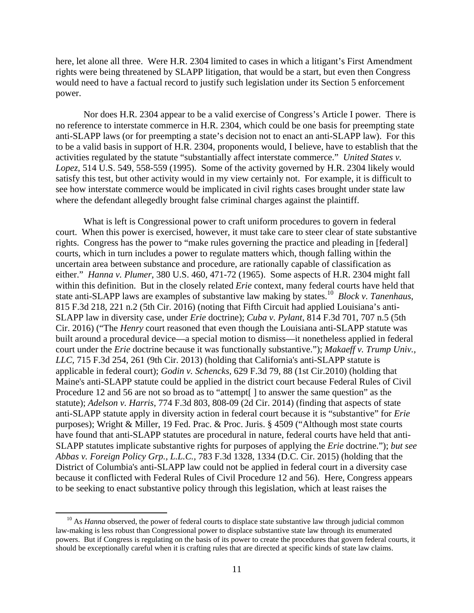here, let alone all three. Were H.R. 2304 limited to cases in which a litigant's First Amendment rights were being threatened by SLAPP litigation, that would be a start, but even then Congress would need to have a factual record to justify such legislation under its Section 5 enforcement power.

Nor does H.R. 2304 appear to be a valid exercise of Congress's Article I power. There is no reference to interstate commerce in H.R. 2304, which could be one basis for preempting state anti-SLAPP laws (or for preempting a state's decision not to enact an anti-SLAPP law). For this to be a valid basis in support of H.R. 2304, proponents would, I believe, have to establish that the activities regulated by the statute "substantially affect interstate commerce." *United States v. Lopez*, 514 U.S. 549, 558-559 (1995). Some of the activity governed by H.R. 2304 likely would satisfy this test, but other activity would in my view certainly not. For example, it is difficult to see how interstate commerce would be implicated in civil rights cases brought under state law where the defendant allegedly brought false criminal charges against the plaintiff.

What is left is Congressional power to craft uniform procedures to govern in federal court. When this power is exercised, however, it must take care to steer clear of state substantive rights. Congress has the power to "make rules governing the practice and pleading in [federal] courts, which in turn includes a power to regulate matters which, though falling within the uncertain area between substance and procedure, are rationally capable of classification as either." *Hanna v. Plumer*, 380 U.S. 460, 471-72 (1965). Some aspects of H.R. 2304 might fall within this definition. But in the closely related *Erie* context, many federal courts have held that state anti-SLAPP laws are examples of substantive law making by states.10 *Block v. Tanenhaus*, 815 F.3d 218, 221 n.2 (5th Cir. 2016) (noting that Fifth Circuit had applied Louisiana's anti-SLAPP law in diversity case, under *Erie* doctrine); *Cuba v. Pylant*, 814 F.3d 701, 707 n.5 (5th Cir. 2016) ("The *Henry* court reasoned that even though the Louisiana anti-SLAPP statute was built around a procedural device—a special motion to dismiss—it nonetheless applied in federal court under the *Erie* doctrine because it was functionally substantive."); *Makaeff v. Trump Univ., LLC,* 715 F.3d 254, 261 (9th Cir. 2013) (holding that California's anti-SLAPP statute is applicable in federal court); *Godin v. Schencks,* 629 F.3d 79, 88 (1st Cir.2010) (holding that Maine's anti-SLAPP statute could be applied in the district court because Federal Rules of Civil Procedure 12 and 56 are not so broad as to "attempt[] to answer the same question" as the statute); *Adelson v. Harris*, 774 F.3d 803, 808-09 (2d Cir. 2014) (finding that aspects of state anti-SLAPP statute apply in diversity action in federal court because it is "substantive" for *Erie* purposes); Wright & Miller, 19 Fed. Prac. & Proc. Juris. § 4509 ("Although most state courts have found that anti-SLAPP statutes are procedural in nature, federal courts have held that anti-SLAPP statutes implicate substantive rights for purposes of applying the *Erie* doctrine."); *but see Abbas v. Foreign Policy Grp., L.L.C.,* 783 F.3d 1328, 1334 (D.C. Cir. 2015) (holding that the District of Columbia's anti-SLAPP law could not be applied in federal court in a diversity case because it conflicted with Federal Rules of Civil Procedure 12 and 56). Here, Congress appears to be seeking to enact substantive policy through this legislation, which at least raises the

<sup>&</sup>lt;sup>10</sup> As *Hanna* observed, the power of federal courts to displace state substantive law through judicial common law-making is less robust than Congressional power to displace substantive state law through its enumerated powers. But if Congress is regulating on the basis of its power to create the procedures that govern federal courts, it should be exceptionally careful when it is crafting rules that are directed at specific kinds of state law claims.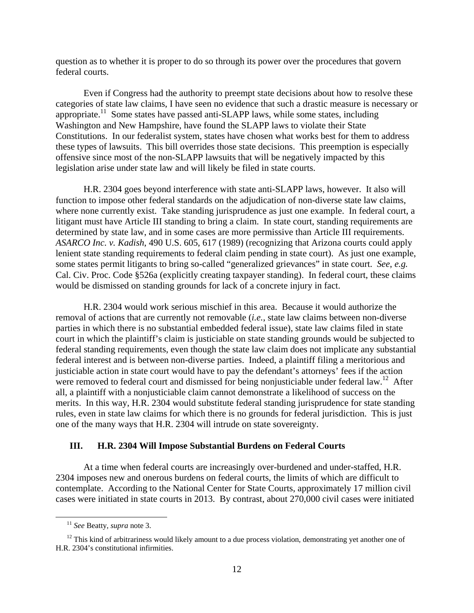question as to whether it is proper to do so through its power over the procedures that govern federal courts.

Even if Congress had the authority to preempt state decisions about how to resolve these categories of state law claims, I have seen no evidence that such a drastic measure is necessary or appropriate.11 Some states have passed anti-SLAPP laws, while some states, including Washington and New Hampshire, have found the SLAPP laws to violate their State Constitutions. In our federalist system, states have chosen what works best for them to address these types of lawsuits. This bill overrides those state decisions. This preemption is especially offensive since most of the non-SLAPP lawsuits that will be negatively impacted by this legislation arise under state law and will likely be filed in state courts.

 H.R. 2304 goes beyond interference with state anti-SLAPP laws, however. It also will function to impose other federal standards on the adjudication of non-diverse state law claims, where none currently exist. Take standing jurisprudence as just one example. In federal court, a litigant must have Article III standing to bring a claim. In state court, standing requirements are determined by state law, and in some cases are more permissive than Article III requirements. *ASARCO Inc. v. Kadish*, 490 U.S. 605, 617 (1989) (recognizing that Arizona courts could apply lenient state standing requirements to federal claim pending in state court). As just one example, some states permit litigants to bring so-called "generalized grievances" in state court. *See*, *e.g.* Cal. Civ. Proc. Code §526a (explicitly creating taxpayer standing). In federal court, these claims would be dismissed on standing grounds for lack of a concrete injury in fact.

H.R. 2304 would work serious mischief in this area. Because it would authorize the removal of actions that are currently not removable (*i.e.*, state law claims between non-diverse parties in which there is no substantial embedded federal issue), state law claims filed in state court in which the plaintiff's claim is justiciable on state standing grounds would be subjected to federal standing requirements, even though the state law claim does not implicate any substantial federal interest and is between non-diverse parties. Indeed, a plaintiff filing a meritorious and justiciable action in state court would have to pay the defendant's attorneys' fees if the action were removed to federal court and dismissed for being nonjusticiable under federal law.<sup>12</sup> After all, a plaintiff with a nonjusticiable claim cannot demonstrate a likelihood of success on the merits. In this way, H.R. 2304 would substitute federal standing jurisprudence for state standing rules, even in state law claims for which there is no grounds for federal jurisdiction. This is just one of the many ways that H.R. 2304 will intrude on state sovereignty.

#### **III. H.R. 2304 Will Impose Substantial Burdens on Federal Courts**

 At a time when federal courts are increasingly over-burdened and under-staffed, H.R. 2304 imposes new and onerous burdens on federal courts, the limits of which are difficult to contemplate. According to the National Center for State Courts, approximately 17 million civil cases were initiated in state courts in 2013. By contrast, about 270,000 civil cases were initiated

 <sup>11</sup> *See* Beatty, *supra* note 3.

<sup>&</sup>lt;sup>12</sup> This kind of arbitrariness would likely amount to a due process violation, demonstrating yet another one of H.R. 2304's constitutional infirmities.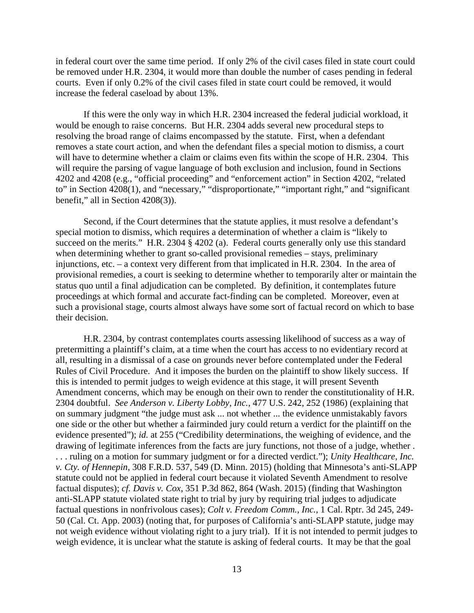in federal court over the same time period. If only 2% of the civil cases filed in state court could be removed under H.R. 2304, it would more than double the number of cases pending in federal courts. Even if only 0.2% of the civil cases filed in state court could be removed, it would increase the federal caseload by about 13%.

If this were the only way in which H.R. 2304 increased the federal judicial workload, it would be enough to raise concerns. But H.R. 2304 adds several new procedural steps to resolving the broad range of claims encompassed by the statute. First, when a defendant removes a state court action, and when the defendant files a special motion to dismiss, a court will have to determine whether a claim or claims even fits within the scope of H.R. 2304. This will require the parsing of vague language of both exclusion and inclusion, found in Sections 4202 and 4208 (e.g., "official proceeding" and "enforcement action" in Section 4202, "related to" in Section 4208(1), and "necessary," "disproportionate," "important right," and "significant benefit," all in Section 4208(3)).

 Second, if the Court determines that the statute applies, it must resolve a defendant's special motion to dismiss, which requires a determination of whether a claim is "likely to succeed on the merits." H.R. 2304 § 4202 (a). Federal courts generally only use this standard when determining whether to grant so-called provisional remedies – stays, preliminary injunctions, etc. – a context very different from that implicated in H.R. 2304. In the area of provisional remedies, a court is seeking to determine whether to temporarily alter or maintain the status quo until a final adjudication can be completed. By definition, it contemplates future proceedings at which formal and accurate fact-finding can be completed. Moreover, even at such a provisional stage, courts almost always have some sort of factual record on which to base their decision.

H.R. 2304, by contrast contemplates courts assessing likelihood of success as a way of pretermitting a plaintiff's claim, at a time when the court has access to no evidentiary record at all, resulting in a dismissal of a case on grounds never before contemplated under the Federal Rules of Civil Procedure. And it imposes the burden on the plaintiff to show likely success. If this is intended to permit judges to weigh evidence at this stage, it will present Seventh Amendment concerns, which may be enough on their own to render the constitutionality of H.R. 2304 doubtful. *See Anderson v. Liberty Lobby, Inc.*, 477 U.S. 242, 252 (1986) (explaining that on summary judgment "the judge must ask ... not whether ... the evidence unmistakably favors one side or the other but whether a fairminded jury could return a verdict for the plaintiff on the evidence presented"); *id.* at 255 ("Credibility determinations, the weighing of evidence, and the drawing of legitimate inferences from the facts are jury functions, not those of a judge, whether . . . . ruling on a motion for summary judgment or for a directed verdict."); *Unity Healthcare, Inc. v. Cty. of Hennepin*, 308 F.R.D. 537, 549 (D. Minn. 2015) (holding that Minnesota's anti-SLAPP statute could not be applied in federal court because it violated Seventh Amendment to resolve factual disputes); *cf. Davis v. Cox*, 351 P.3d 862, 864 (Wash. 2015) (finding that Washington anti-SLAPP statute violated state right to trial by jury by requiring trial judges to adjudicate factual questions in nonfrivolous cases); *Colt v. Freedom Comm., Inc.*, 1 Cal. Rptr. 3d 245, 249- 50 (Cal. Ct. App. 2003) (noting that, for purposes of California's anti-SLAPP statute, judge may not weigh evidence without violating right to a jury trial). If it is not intended to permit judges to weigh evidence, it is unclear what the statute is asking of federal courts. It may be that the goal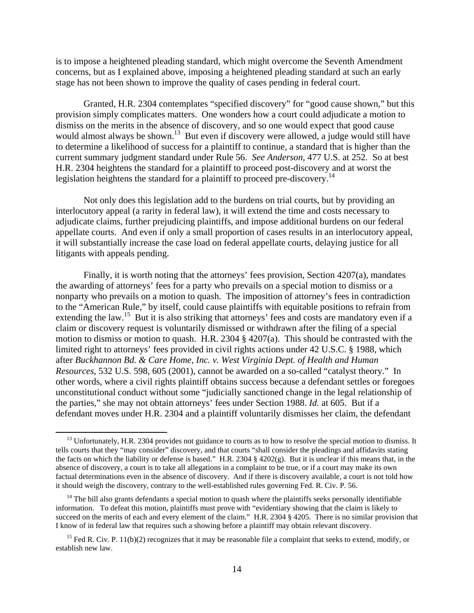is to impose a heightened pleading standard, which might overcome the Seventh Amendment concerns, but as I explained above, imposing a heightened pleading standard at such an early stage has not been shown to improve the quality of cases pending in federal court.

Granted, H.R. 2304 contemplates "specified discovery" for "good cause shown," but this provision simply complicates matters. One wonders how a court could adjudicate a motion to dismiss on the merits in the absence of discovery, and so one would expect that good cause would almost always be shown.<sup>13</sup> But even if discovery were allowed, a judge would still have to determine a likelihood of success for a plaintiff to continue, a standard that is higher than the current summary judgment standard under Rule 56. *See Anderson*, 477 U.S. at 252*.* So at best H.R. 2304 heightens the standard for a plaintiff to proceed post-discovery and at worst the legislation heightens the standard for a plaintiff to proceed pre-discovery.<sup>14</sup>

Not only does this legislation add to the burdens on trial courts, but by providing an interlocutory appeal (a rarity in federal law), it will extend the time and costs necessary to adjudicate claims, further prejudicing plaintiffs, and impose additional burdens on our federal appellate courts. And even if only a small proportion of cases results in an interlocutory appeal, it will substantially increase the case load on federal appellate courts, delaying justice for all litigants with appeals pending.

Finally, it is worth noting that the attorneys' fees provision, Section 4207(a), mandates the awarding of attorneys' fees for a party who prevails on a special motion to dismiss or a nonparty who prevails on a motion to quash. The imposition of attorney's fees in contradiction to the "American Rule," by itself, could cause plaintiffs with equitable positions to refrain from extending the law.<sup>15</sup> But it is also striking that attorneys' fees and costs are mandatory even if a claim or discovery request is voluntarily dismissed or withdrawn after the filing of a special motion to dismiss or motion to quash. H.R. 2304 § 4207(a). This should be contrasted with the limited right to attorneys' fees provided in civil rights actions under 42 U.S.C. § 1988, which after *Buckhannon Bd. & Care Home, Inc. v. West Virginia Dept. of Health and Human Resources*, 532 U.S. 598, 605 (2001), cannot be awarded on a so-called "catalyst theory." In other words, where a civil rights plaintiff obtains success because a defendant settles or foregoes unconstitutional conduct without some "judicially sanctioned change in the legal relationship of the parties," she may not obtain attorneys' fees under Section 1988. *Id.* at 605. But if a defendant moves under H.R. 2304 and a plaintiff voluntarily dismisses her claim, the defendant

<sup>&</sup>lt;sup>13</sup> Unfortunately, H.R. 2304 provides not guidance to courts as to how to resolve the special motion to dismiss. It tells courts that they "may consider" discovery, and that courts "shall consider the pleadings and affidavits stating the facts on which the liability or defense is based." H.R. 2304  $\S$  4202(g). But it is unclear if this means that, in the absence of discovery, a court is to take all allegations in a complaint to be true, or if a court may make its own factual determinations even in the absence of discovery. And if there is discovery available, a court is not told how it should weigh the discovery, contrary to the well-established rules governing Fed. R. Civ. P. 56.

 $14$  The bill also grants defendants a special motion to quash where the plaintiffs seeks personally identifiable information. To defeat this motion, plaintiffs must prove with "evidentiary showing that the claim is likely to succeed on the merits of each and every element of the claim." H.R. 2304 § 4205. There is no similar provision that I know of in federal law that requires such a showing before a plaintiff may obtain relevant discovery.

<sup>&</sup>lt;sup>15</sup> Fed R. Civ. P. 11(b)(2) recognizes that it may be reasonable file a complaint that seeks to extend, modify, or establish new law.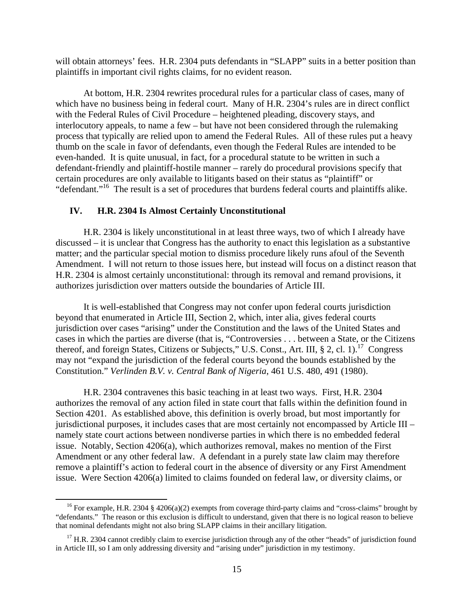will obtain attorneys' fees. H.R. 2304 puts defendants in "SLAPP" suits in a better position than plaintiffs in important civil rights claims, for no evident reason.

At bottom, H.R. 2304 rewrites procedural rules for a particular class of cases, many of which have no business being in federal court. Many of H.R. 2304's rules are in direct conflict with the Federal Rules of Civil Procedure – heightened pleading, discovery stays, and interlocutory appeals, to name a few – but have not been considered through the rulemaking process that typically are relied upon to amend the Federal Rules. All of these rules put a heavy thumb on the scale in favor of defendants, even though the Federal Rules are intended to be even-handed. It is quite unusual, in fact, for a procedural statute to be written in such a defendant-friendly and plaintiff-hostile manner – rarely do procedural provisions specify that certain procedures are only available to litigants based on their status as "plaintiff" or "defendant."<sup>16</sup> The result is a set of procedures that burdens federal courts and plaintiffs alike.

#### **IV. H.R. 2304 Is Almost Certainly Unconstitutional**

H.R. 2304 is likely unconstitutional in at least three ways, two of which I already have discussed – it is unclear that Congress has the authority to enact this legislation as a substantive matter; and the particular special motion to dismiss procedure likely runs afoul of the Seventh Amendment. I will not return to those issues here, but instead will focus on a distinct reason that H.R. 2304 is almost certainly unconstitutional: through its removal and remand provisions, it authorizes jurisdiction over matters outside the boundaries of Article III.

It is well-established that Congress may not confer upon federal courts jurisdiction beyond that enumerated in Article III, Section 2, which, inter alia, gives federal courts jurisdiction over cases "arising" under the Constitution and the laws of the United States and cases in which the parties are diverse (that is, "Controversies . . . between a State, or the Citizens thereof, and foreign States, Citizens or Subjects," U.S. Const., Art. III, § 2, cl. 1).<sup>17</sup> Congress may not "expand the jurisdiction of the federal courts beyond the bounds established by the Constitution." *Verlinden B.V. v. Central Bank of Nigeria*, 461 U.S. 480, 491 (1980).

H.R. 2304 contravenes this basic teaching in at least two ways. First, H.R. 2304 authorizes the removal of any action filed in state court that falls within the definition found in Section 4201. As established above, this definition is overly broad, but most importantly for jurisdictional purposes, it includes cases that are most certainly not encompassed by Article III – namely state court actions between nondiverse parties in which there is no embedded federal issue. Notably, Section 4206(a), which authorizes removal, makes no mention of the First Amendment or any other federal law. A defendant in a purely state law claim may therefore remove a plaintiff's action to federal court in the absence of diversity or any First Amendment issue. Were Section 4206(a) limited to claims founded on federal law, or diversity claims, or

<sup>&</sup>lt;sup>16</sup> For example, H.R. 2304 § 4206(a)(2) exempts from coverage third-party claims and "cross-claims" brought by "defendants." The reason or this exclusion is difficult to understand, given that there is no logical reason to believe that nominal defendants might not also bring SLAPP claims in their ancillary litigation.

<sup>&</sup>lt;sup>17</sup> H.R. 2304 cannot credibly claim to exercise jurisdiction through any of the other "heads" of jurisdiction found in Article III, so I am only addressing diversity and "arising under" jurisdiction in my testimony.